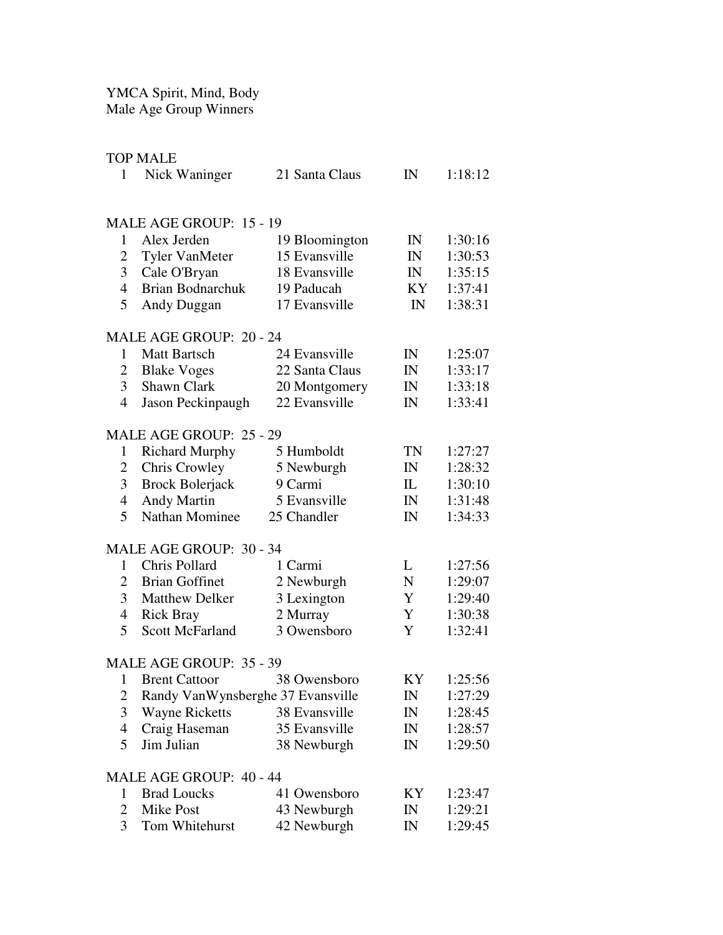## YMCA Spirit, Mind, Body

Male Age Group Winners

## TOP MALE

| $\mathbf{1}$            | Nick Waninger                     | 21 Santa Claus | IN           | 1:18:12 |
|-------------------------|-----------------------------------|----------------|--------------|---------|
|                         | MALE AGE GROUP: 15 - 19           |                |              |         |
| $\mathbf{1}$            | Alex Jerden                       | 19 Bloomington | IN           | 1:30:16 |
| $\overline{2}$          | <b>Tyler VanMeter</b>             | 15 Evansville  | IN           | 1:30:53 |
| 3                       | Cale O'Bryan                      | 18 Evansville  | IN           | 1:35:15 |
| $\overline{4}$          | <b>Brian Bodnarchuk</b>           | 19 Paducah     | KY           | 1:37:41 |
| 5                       | Andy Duggan                       | 17 Evansville  | IN           | 1:38:31 |
|                         |                                   |                |              |         |
|                         | MALE AGE GROUP: 20 - 24           |                |              |         |
| $\mathbf{1}$            | <b>Matt Bartsch</b>               | 24 Evansville  | IN           | 1:25:07 |
| $\overline{2}$          | <b>Blake Voges</b>                | 22 Santa Claus | IN           | 1:33:17 |
| $\overline{3}$          | <b>Shawn Clark</b>                | 20 Montgomery  | IN           | 1:33:18 |
| $\overline{4}$          | Jason Peckinpaugh                 | 22 Evansville  | IN           | 1:33:41 |
|                         |                                   |                |              |         |
|                         | MALE AGE GROUP: 25 - 29           |                |              |         |
| $\mathbf{1}$            | <b>Richard Murphy</b>             | 5 Humboldt     | TN           | 1:27:27 |
| $\overline{2}$          | Chris Crowley                     | 5 Newburgh     | IN           | 1:28:32 |
| 3 <sup>1</sup>          | <b>Brock Bolerjack</b>            | 9 Carmi        | IL           | 1:30:10 |
| $\overline{4}$<br>5     | <b>Andy Martin</b>                | 5 Evansville   | IN           | 1:31:48 |
|                         | <b>Nathan Mominee</b>             | 25 Chandler    | IN           | 1:34:33 |
|                         | MALE AGE GROUP: 30 - 34           |                |              |         |
| $\mathbf{1}$            | Chris Pollard                     | 1 Carmi        | L            | 1:27:56 |
| $\overline{2}$          | <b>Brian Goffinet</b>             | 2 Newburgh     | $\mathbf N$  | 1:29:07 |
| $\overline{3}$          | <b>Matthew Delker</b>             | 3 Lexington    | Y            | 1:29:40 |
| $\overline{4}$          | <b>Rick Bray</b>                  | 2 Murray       | Y            | 1:30:38 |
| 5                       | <b>Scott McFarland</b>            | 3 Owensboro    | Y            | 1:32:41 |
|                         |                                   |                |              |         |
|                         | MALE AGE GROUP: 35 - 39           |                |              |         |
| 1                       | <b>Brent Cattoor</b>              | 38 Owensboro   | KY           | 1:25:56 |
| $\overline{\mathbf{c}}$ | Randy VanWynsberghe 37 Evansville |                | IN           | 1:27:29 |
| 3                       | <b>Wayne Ricketts</b>             | 38 Evansville  | IN           | 1:28:45 |
| $\overline{4}$          | Craig Haseman                     | 35 Evansville  | IN           | 1:28:57 |
| 5                       | Jim Julian                        | 38 Newburgh    | IN           | 1:29:50 |
|                         | MALE AGE GROUP: 40 - 44           |                |              |         |
| 1                       | <b>Brad Loucks</b>                | 41 Owensboro   | KY           | 1:23:47 |
| $\overline{2}$          | <b>Mike Post</b>                  | 43 Newburgh    | $\mathbb{N}$ | 1:29:21 |
| 3                       | Tom Whitehurst                    | 42 Newburgh    | IN           | 1:29:45 |